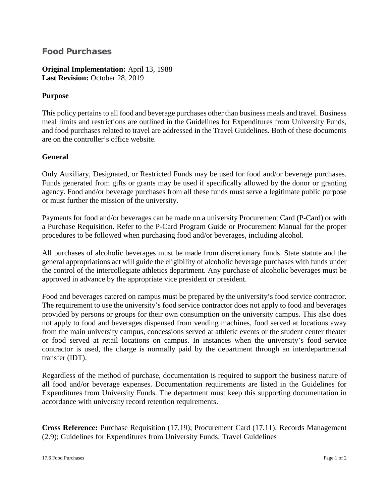## **Food Purchases**

**Original Implementation:** April 13, 1988 **Last Revision:** October 28, 2019

## **Purpose**

This policy pertains to all food and beverage purchases other than business meals and travel. Business meal limits and restrictions are outlined in the Guidelines for Expenditures from University Funds, and food purchases related to travel are addressed in the Travel Guidelines. Both of these documents are on the controller's office website.

## **General**

Only Auxiliary, Designated, or Restricted Funds may be used for food and/or beverage purchases. Funds generated from gifts or grants may be used if specifically allowed by the donor or granting agency. Food and/or beverage purchases from all these funds must serve a legitimate public purpose or must further the mission of the university.

Payments for food and/or beverages can be made on a university Procurement Card (P-Card) or with a Purchase Requisition. Refer to the P-Card Program Guide or Procurement Manual for the proper procedures to be followed when purchasing food and/or beverages, including alcohol.

All purchases of alcoholic beverages must be made from discretionary funds. State statute and the general appropriations act will guide the eligibility of alcoholic beverage purchases with funds under the control of the intercollegiate athletics department. Any purchase of alcoholic beverages must be approved in advance by the appropriate vice president or president.

Food and beverages catered on campus must be prepared by the university's food service contractor. The requirement to use the university's food service contractor does not apply to food and beverages provided by persons or groups for their own consumption on the university campus. This also does not apply to food and beverages dispensed from vending machines, food served at locations away from the main university campus, concessions served at athletic events or the student center theater or food served at retail locations on campus. In instances when the university's food service contractor is used, the charge is normally paid by the department through an interdepartmental transfer (IDT).

Regardless of the method of purchase, documentation is required to support the business nature of all food and/or beverage expenses. Documentation requirements are listed in the Guidelines for Expenditures from University Funds. The department must keep this supporting documentation in accordance with university record retention requirements.

**Cross Reference:** Purchase Requisition (17.19); Procurement Card (17.11); Records Management (2.9); Guidelines for Expenditures from University Funds; Travel Guidelines